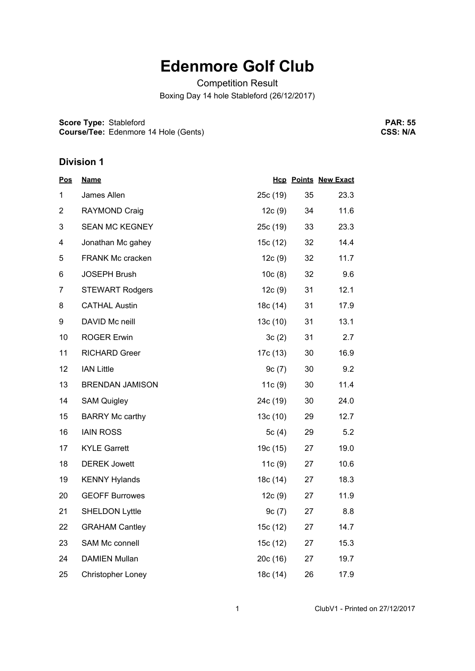## **Edenmore Golf Club**

Competition Result Boxing Day 14 hole Stableford (26/12/2017)

**Score Type:** Stableford **Course/Tee:** Edenmore 14 Hole (Gents)

**PAR: 55 CSS: N/A**

## **Division 1**

| <u>Pos</u>     | <b>Name</b>              |          |    | <b>Hcp Points New Exact</b> |
|----------------|--------------------------|----------|----|-----------------------------|
| 1              | James Allen              | 25c (19) | 35 | 23.3                        |
| $\overline{2}$ | <b>RAYMOND Craig</b>     | 12c(9)   | 34 | 11.6                        |
| 3              | <b>SEAN MC KEGNEY</b>    | 25c(19)  | 33 | 23.3                        |
| 4              | Jonathan Mc gahey        | 15c (12) | 32 | 14.4                        |
| 5              | <b>FRANK Mc cracken</b>  | 12c(9)   | 32 | 11.7                        |
| 6              | <b>JOSEPH Brush</b>      | 10c(8)   | 32 | 9.6                         |
| $\overline{7}$ | <b>STEWART Rodgers</b>   | 12c(9)   | 31 | 12.1                        |
| 8              | <b>CATHAL Austin</b>     | 18c (14) | 31 | 17.9                        |
| 9              | DAVID Mc neill           | 13c(10)  | 31 | 13.1                        |
| 10             | <b>ROGER Erwin</b>       | 3c(2)    | 31 | 2.7                         |
| 11             | <b>RICHARD Greer</b>     | 17c (13) | 30 | 16.9                        |
| 12             | <b>IAN Little</b>        | 9c(7)    | 30 | 9.2                         |
| 13             | <b>BRENDAN JAMISON</b>   | 11c(9)   | 30 | 11.4                        |
| 14             | <b>SAM Quigley</b>       | 24c (19) | 30 | 24.0                        |
| 15             | <b>BARRY Mc carthy</b>   | 13c(10)  | 29 | 12.7                        |
| 16             | <b>IAIN ROSS</b>         | 5 $c(4)$ | 29 | 5.2                         |
| 17             | <b>KYLE Garrett</b>      | 19c (15) | 27 | 19.0                        |
| 18             | <b>DEREK Jowett</b>      | 11c(9)   | 27 | 10.6                        |
| 19             | <b>KENNY Hylands</b>     | 18c (14) | 27 | 18.3                        |
| 20             | <b>GEOFF Burrowes</b>    | 12c(9)   | 27 | 11.9                        |
| 21             | <b>SHELDON Lyttle</b>    | 9c(7)    | 27 | 8.8                         |
| 22             | <b>GRAHAM Cantley</b>    | 15c (12) | 27 | 14.7                        |
| 23             | SAM Mc connell           | 15c (12) | 27 | 15.3                        |
| 24             | <b>DAMIEN Mullan</b>     | 20c(16)  | 27 | 19.7                        |
| 25             | <b>Christopher Loney</b> | 18c (14) | 26 | 17.9                        |